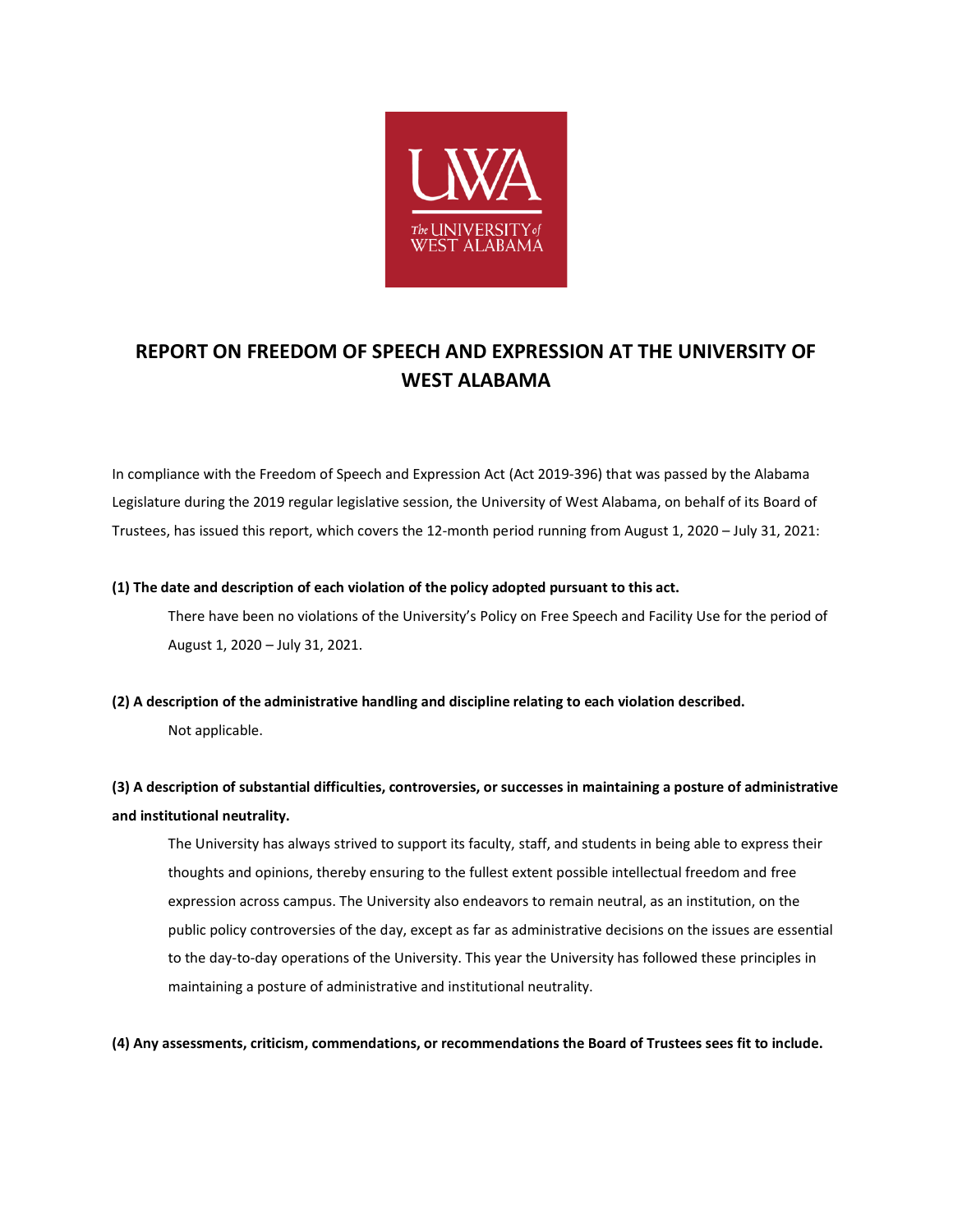

## **REPORT ON FREEDOM OF SPEECH AND EXPRESSION AT THE UNIVERSITY OF WEST ALABAMA**

In compliance with the Freedom of Speech and Expression Act (Act 2019-396) that was passed by the Alabama Legislature during the 2019 regular legislative session, the University of West Alabama, on behalf of its Board of Trustees, has issued this report, which covers the 12-month period running from August 1, 2020 – July 31, 2021:

## **(1) The date and description of each violation of the policy adopted pursuant to this act.**

There have been no violations of the University's Policy on Free Speech and Facility Use for the period of August 1, 2020 – July 31, 2021.

**(2) A description of the administrative handling and discipline relating to each violation described.**  Not applicable.

## **(3) A description of substantial difficulties, controversies, or successes in maintaining a posture of administrative and institutional neutrality.**

The University has always strived to support its faculty, staff, and students in being able to express their thoughts and opinions, thereby ensuring to the fullest extent possible intellectual freedom and free expression across campus. The University also endeavors to remain neutral, as an institution, on the public policy controversies of the day, except as far as administrative decisions on the issues are essential to the day-to-day operations of the University. This year the University has followed these principles in maintaining a posture of administrative and institutional neutrality.

**(4) Any assessments, criticism, commendations, or recommendations the Board of Trustees sees fit to include.**